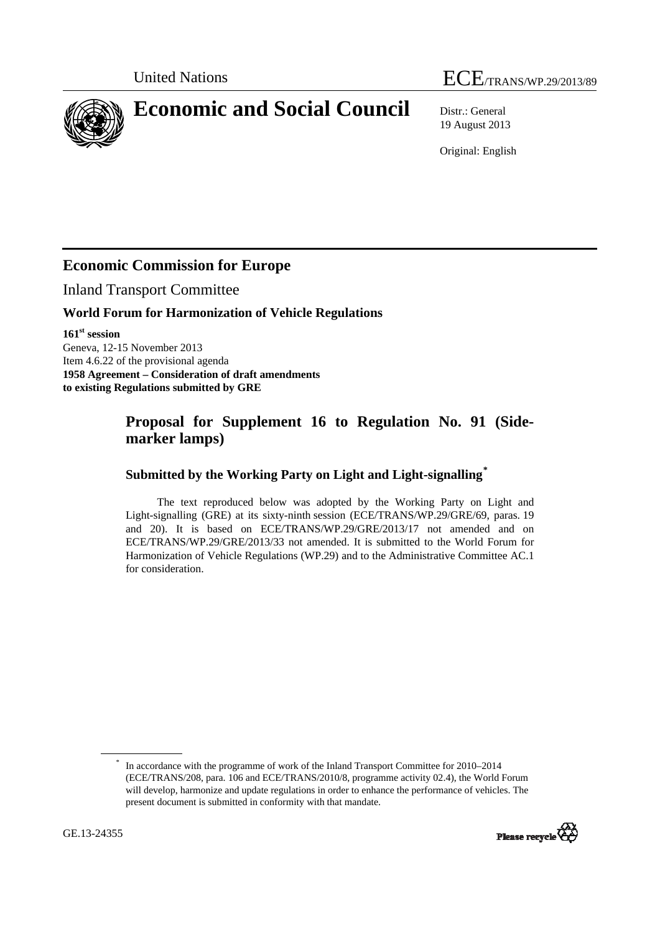# United Nations ECE/TRANS/WP.29/2013/89

<span id="page-0-0"></span>**Economic and Social Council** Distr.: General

19 August 2013

Original: English

## **Economic Commission for Europe**

Inland Transport Committee

#### **World Forum for Harmonization of Vehicle Regulations**

**161st session**  Geneva, 12-15 November 2013 Item 4.6.22 of the provisional agenda **1958 Agreement – Consideration of draft amendments to existing Regulations submitted by GRE** 

## **Proposal for Supplement 16 to Regulation No. 91 (Sidemarker lamps)**

### **Submitted by the Working Party on Light and Light-signalling[\\*](#page-0-0)**

The text reproduced below was adopted by the Working Party on Light and Light-signalling (GRE) at its sixty-ninth session (ECE/TRANS/WP.29/GRE/69, paras. 19 and 20). It is based on ECE/TRANS/WP.29/GRE/2013/17 not amended and on ECE/TRANS/WP.29/GRE/2013/33 not amended. It is submitted to the World Forum for Harmonization of Vehicle Regulations (WP.29) and to the Administrative Committee AC.1 for consideration.

<sup>\*</sup> In accordance with the programme of work of the Inland Transport Committee for 2010–2014 (ECE/TRANS/208, para. 106 and ECE/TRANS/2010/8, programme activity 02.4), the World Forum will develop, harmonize and update regulations in order to enhance the performance of vehicles. The present document is submitted in conformity with that mandate.

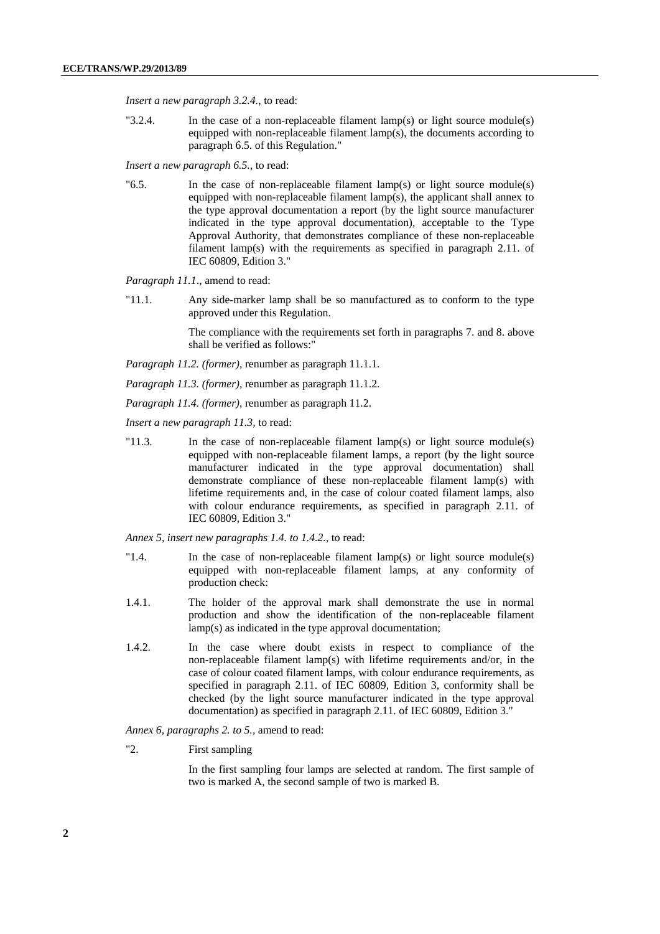*Insert a new paragraph 3.2.4.*, to read:

"3.2.4. In the case of a non-replaceable filament lamp(s) or light source module(s) equipped with non-replaceable filament lamp(s), the documents according to paragraph 6.5. of this Regulation."

*Insert a new paragraph 6.5.*, to read:

"6.5. In the case of non-replaceable filament lamp(s) or light source module(s) equipped with non-replaceable filament lamp(s), the applicant shall annex to the type approval documentation a report (by the light source manufacturer indicated in the type approval documentation), acceptable to the Type Approval Authority, that demonstrates compliance of these non-replaceable filament lamp(s) with the requirements as specified in paragraph 2.11. of IEC 60809, Edition 3."

*Paragraph 11.1*., amend to read:

"11.1. Any side-marker lamp shall be so manufactured as to conform to the type approved under this Regulation.

> The compliance with the requirements set forth in paragraphs 7. and 8. above shall be verified as follows:"

*Paragraph 11.2. (former)*, renumber as paragraph 11.1.1.

*Paragraph 11.3. (former)*, renumber as paragraph 11.1.2.

*Paragraph 11.4. (former)*, renumber as paragraph 11.2.

*Insert a new paragraph 11.3,* to read:

"11.3. In the case of non-replaceable filament lamp(s) or light source module(s) equipped with non-replaceable filament lamps, a report (by the light source manufacturer indicated in the type approval documentation) shall demonstrate compliance of these non-replaceable filament lamp(s) with lifetime requirements and, in the case of colour coated filament lamps, also with colour endurance requirements, as specified in paragraph 2.11. of IEC 60809, Edition 3."

*Annex 5, insert new paragraphs 1.4. to 1.4.2.*, to read:

- "1.4. In the case of non-replaceable filament lamp(s) or light source module(s) equipped with non-replaceable filament lamps, at any conformity of production check:
- 1.4.1. The holder of the approval mark shall demonstrate the use in normal production and show the identification of the non-replaceable filament lamp(s) as indicated in the type approval documentation;
- 1.4.2. In the case where doubt exists in respect to compliance of the non-replaceable filament lamp(s) with lifetime requirements and/or, in the case of colour coated filament lamps, with colour endurance requirements, as specified in paragraph 2.11. of IEC 60809, Edition 3, conformity shall be checked (by the light source manufacturer indicated in the type approval documentation) as specified in paragraph 2.11. of IEC 60809, Edition 3."

*Annex 6, paragraphs 2. to 5.,* amend to read:

"2. First sampling

In the first sampling four lamps are selected at random. The first sample of two is marked A, the second sample of two is marked B.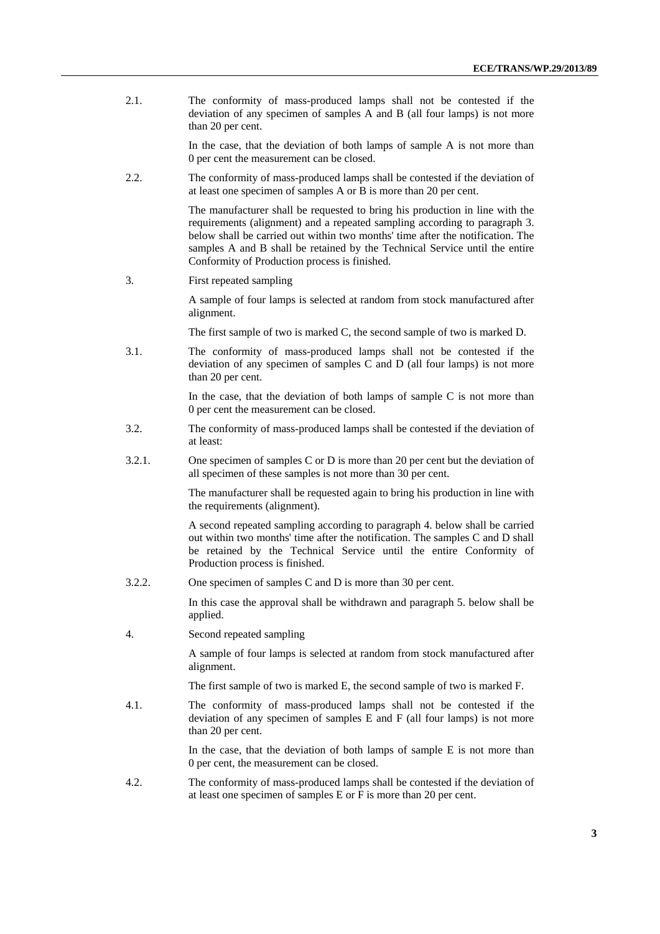2.1. The conformity of mass-produced lamps shall not be contested if the deviation of any specimen of samples A and B (all four lamps) is not more than 20 per cent.

> In the case, that the deviation of both lamps of sample A is not more than 0 per cent the measurement can be closed.

2.2. The conformity of mass-produced lamps shall be contested if the deviation of at least one specimen of samples A or B is more than 20 per cent.

> The manufacturer shall be requested to bring his production in line with the requirements (alignment) and a repeated sampling according to paragraph 3. below shall be carried out within two months' time after the notification. The samples A and B shall be retained by the Technical Service until the entire Conformity of Production process is finished.

3. First repeated sampling

A sample of four lamps is selected at random from stock manufactured after alignment.

The first sample of two is marked C, the second sample of two is marked D.

3.1. The conformity of mass-produced lamps shall not be contested if the deviation of any specimen of samples C and D (all four lamps) is not more than 20 per cent.

> In the case, that the deviation of both lamps of sample C is not more than 0 per cent the measurement can be closed.

- 3.2. The conformity of mass-produced lamps shall be contested if the deviation of at least:
- 3.2.1. One specimen of samples C or D is more than 20 per cent but the deviation of all specimen of these samples is not more than 30 per cent.

The manufacturer shall be requested again to bring his production in line with the requirements (alignment).

A second repeated sampling according to paragraph 4. below shall be carried out within two months' time after the notification. The samples C and D shall be retained by the Technical Service until the entire Conformity of Production process is finished.

3.2.2. One specimen of samples C and D is more than 30 per cent.

In this case the approval shall be withdrawn and paragraph 5. below shall be applied.

4. Second repeated sampling

A sample of four lamps is selected at random from stock manufactured after alignment.

The first sample of two is marked E, the second sample of two is marked F.

4.1. The conformity of mass-produced lamps shall not be contested if the deviation of any specimen of samples E and F (all four lamps) is not more than 20 per cent.

> In the case, that the deviation of both lamps of sample E is not more than 0 per cent, the measurement can be closed.

4.2. The conformity of mass-produced lamps shall be contested if the deviation of at least one specimen of samples E or F is more than 20 per cent.